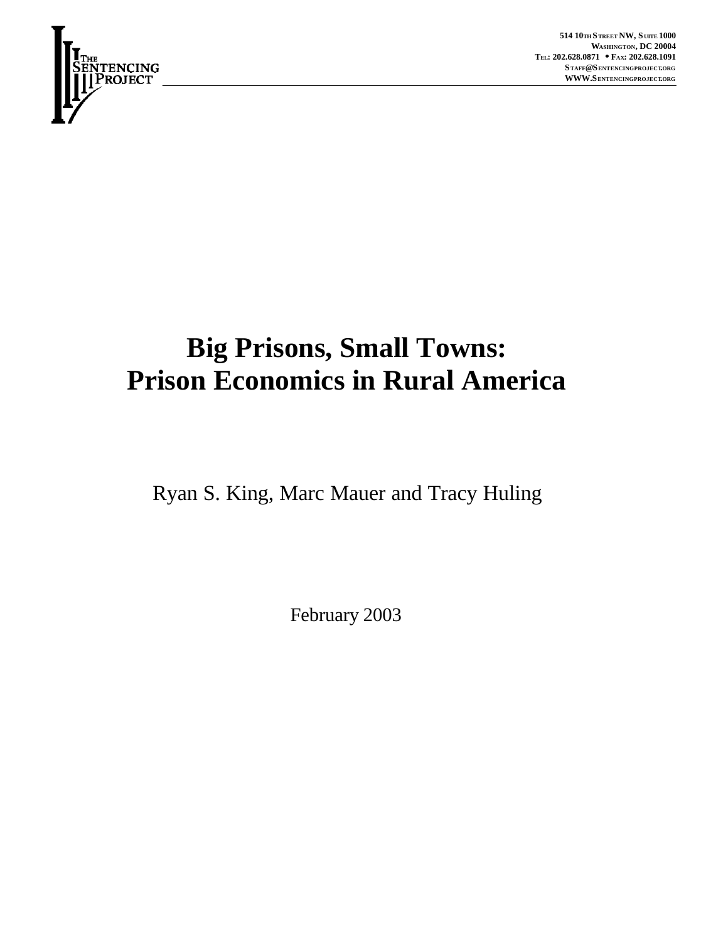

**514 10TH STREET NW, S UITE 1000 WASHINGTON, DC 20004 TEL: 202.628.0871 ·· FAX: 202.628.1091 STAFF@SENTENCINGPROJECT.ORG WWW.SENTENCINGPROJECT.ORG**

# **Big Prisons, Small Towns: Prison Economics in Rural America**

Ryan S. King, Marc Mauer and Tracy Huling

February 2003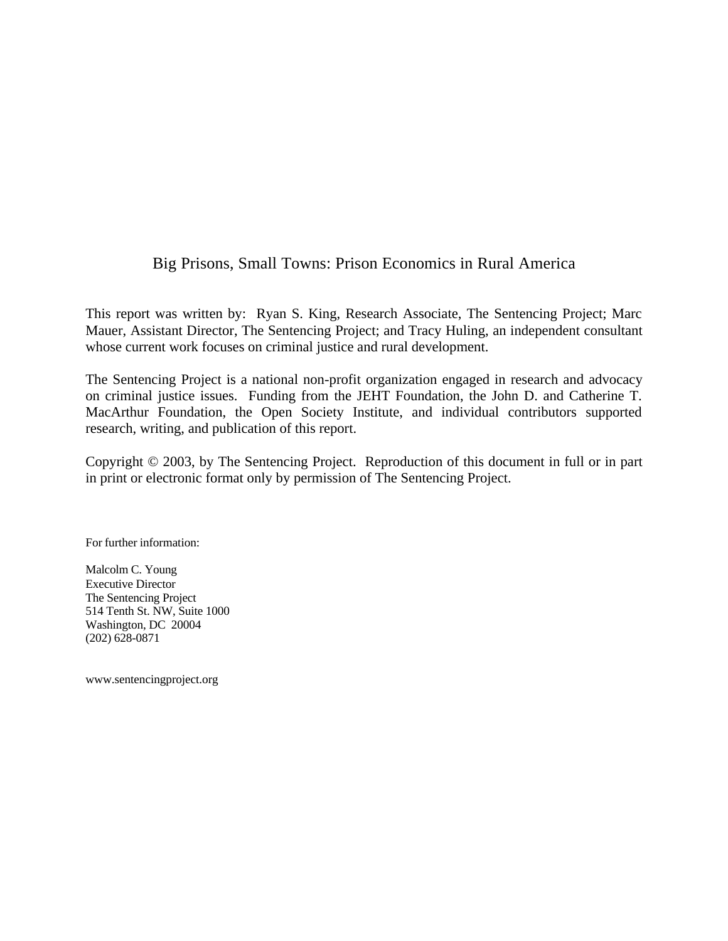## Big Prisons, Small Towns: Prison Economics in Rural America

This report was written by: Ryan S. King, Research Associate, The Sentencing Project; Marc Mauer, Assistant Director, The Sentencing Project; and Tracy Huling, an independent consultant whose current work focuses on criminal justice and rural development.

The Sentencing Project is a national non-profit organization engaged in research and advocacy on criminal justice issues. Funding from the JEHT Foundation, the John D. and Catherine T. MacArthur Foundation, the Open Society Institute, and individual contributors supported research, writing, and publication of this report.

Copyright © 2003, by The Sentencing Project. Reproduction of this document in full or in part in print or electronic format only by permission of The Sentencing Project.

For further information:

Malcolm C. Young Executive Director The Sentencing Project 514 Tenth St. NW, Suite 1000 Washington, DC 20004 (202) 628-0871

www.sentencingproject.org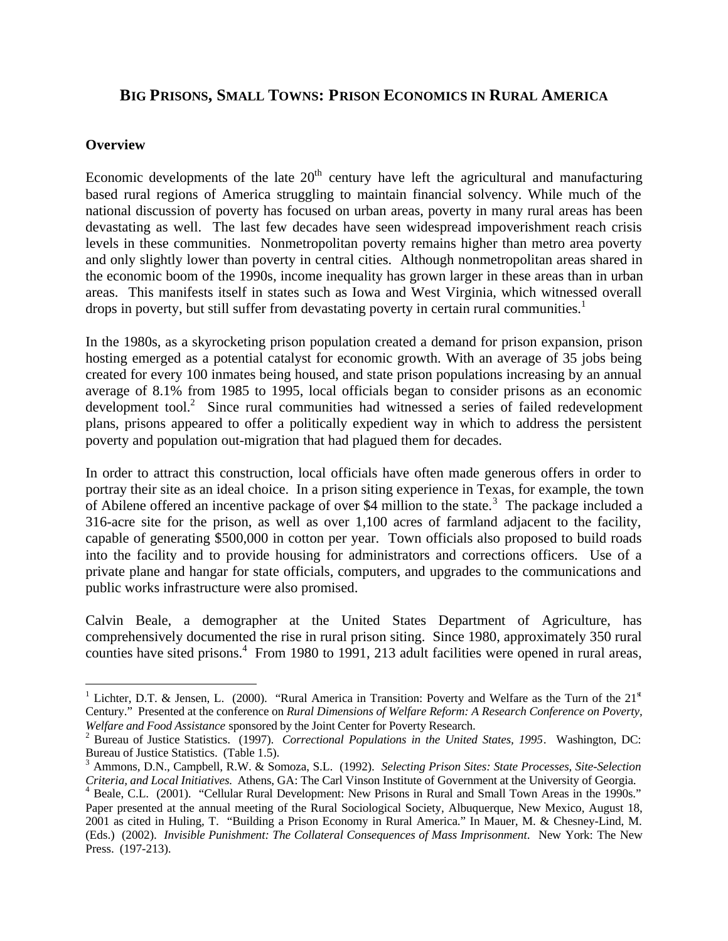## **BIG PRISONS, SMALL TOWNS: PRISON ECONOMICS IN RURAL AMERICA**

#### **Overview**

 $\overline{a}$ 

Economic developments of the late  $20<sup>th</sup>$  century have left the agricultural and manufacturing based rural regions of America struggling to maintain financial solvency. While much of the national discussion of poverty has focused on urban areas, poverty in many rural areas has been devastating as well. The last few decades have seen widespread impoverishment reach crisis levels in these communities. Nonmetropolitan poverty remains higher than metro area poverty and only slightly lower than poverty in central cities. Although nonmetropolitan areas shared in the economic boom of the 1990s, income inequality has grown larger in these areas than in urban areas. This manifests itself in states such as Iowa and West Virginia, which witnessed overall drops in poverty, but still suffer from devastating poverty in certain rural communities.<sup>1</sup>

In the 1980s, as a skyrocketing prison population created a demand for prison expansion, prison hosting emerged as a potential catalyst for economic growth. With an average of 35 jobs being created for every 100 inmates being housed, and state prison populations increasing by an annual average of 8.1% from 1985 to 1995, local officials began to consider prisons as an economic development tool.<sup>2</sup> Since rural communities had witnessed a series of failed redevelopment plans, prisons appeared to offer a politically expedient way in which to address the persistent poverty and population out-migration that had plagued them for decades.

In order to attract this construction, local officials have often made generous offers in order to portray their site as an ideal choice. In a prison siting experience in Texas, for example, the town of Abilene offered an incentive package of over \$4 million to the state.<sup>3</sup> The package included a 316-acre site for the prison, as well as over 1,100 acres of farmland adjacent to the facility, capable of generating \$500,000 in cotton per year. Town officials also proposed to build roads into the facility and to provide housing for administrators and corrections officers. Use of a private plane and hangar for state officials, computers, and upgrades to the communications and public works infrastructure were also promised.

Calvin Beale, a demographer at the United States Department of Agriculture, has comprehensively documented the rise in rural prison siting. Since 1980, approximately 350 rural counties have sited prisons.<sup>4</sup> From 1980 to 1991, 213 adult facilities were opened in rural areas,

<sup>&</sup>lt;sup>1</sup> Lichter, D.T. & Jensen, L. (2000). "Rural America in Transition: Poverty and Welfare as the Turn of the  $21<sup>st</sup>$ Century." Presented at the conference on *Rural Dimensions of Welfare Reform: A Research Conference on Poverty, Welfare and Food Assistance* sponsored by the Joint Center for Poverty Research.

<sup>&</sup>lt;sup>2</sup> Bureau of Justice Statistics. (1997). *Correctional Populations in the United States, 1995*. Washington, DC: Bureau of Justice Statistics. (Table 1.5).

<sup>3</sup> Ammons, D.N., Campbell, R.W. & Somoza, S.L. (1992). *Selecting Prison Sites: State Processes, Site-Selection Criteria, and Local Initiatives.* Athens, GA: The Carl Vinson Institute of Government at the University of Georgia. <sup>4</sup> Beale, C.L. (2001). "Cellular Rural Development: New Prisons in Rural and Small Town Areas in the 1990s."

Paper presented at the annual meeting of the Rural Sociological Society, Albuquerque, New Mexico, August 18, 2001 as cited in Huling, T. "Building a Prison Economy in Rural America." In Mauer, M. & Chesney-Lind, M. (Eds.) (2002). *Invisible Punishment: The Collateral Consequences of Mass Imprisonment*. New York: The New Press. (197-213).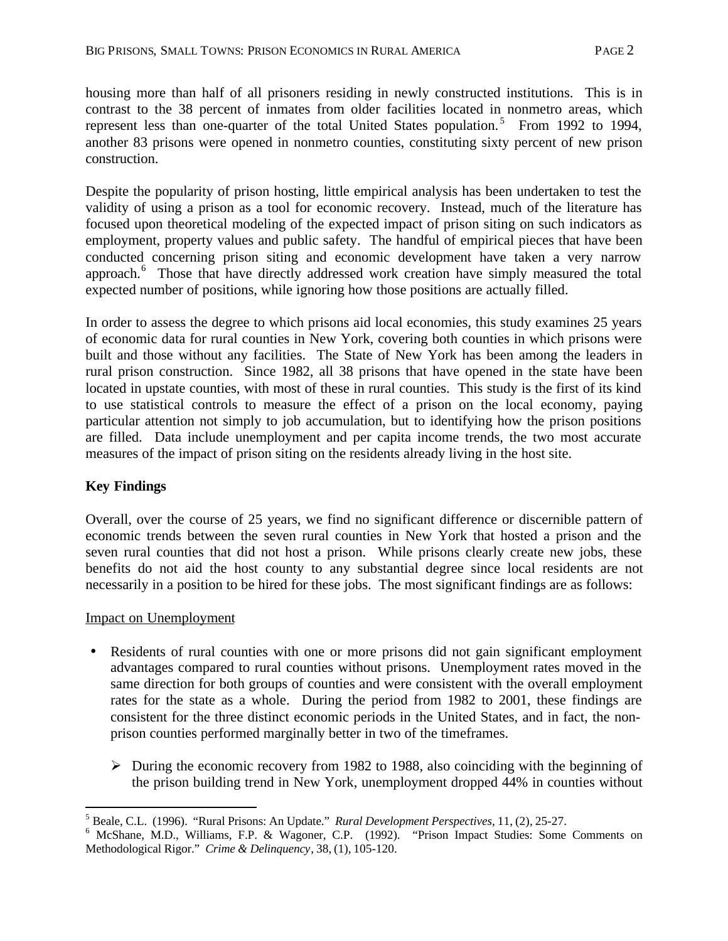housing more than half of all prisoners residing in newly constructed institutions. This is in contrast to the 38 percent of inmates from older facilities located in nonmetro areas, which represent less than one-quarter of the total United States population.<sup>5</sup> From 1992 to 1994, another 83 prisons were opened in nonmetro counties, constituting sixty percent of new prison construction.

Despite the popularity of prison hosting, little empirical analysis has been undertaken to test the validity of using a prison as a tool for economic recovery. Instead, much of the literature has focused upon theoretical modeling of the expected impact of prison siting on such indicators as employment, property values and public safety. The handful of empirical pieces that have been conducted concerning prison siting and economic development have taken a very narrow approach.<sup>6</sup> Those that have directly addressed work creation have simply measured the total expected number of positions, while ignoring how those positions are actually filled.

In order to assess the degree to which prisons aid local economies, this study examines 25 years of economic data for rural counties in New York, covering both counties in which prisons were built and those without any facilities. The State of New York has been among the leaders in rural prison construction. Since 1982, all 38 prisons that have opened in the state have been located in upstate counties, with most of these in rural counties. This study is the first of its kind to use statistical controls to measure the effect of a prison on the local economy, paying particular attention not simply to job accumulation, but to identifying how the prison positions are filled. Data include unemployment and per capita income trends, the two most accurate measures of the impact of prison siting on the residents already living in the host site.

#### **Key Findings**

 $\overline{a}$ 

Overall, over the course of 25 years, we find no significant difference or discernible pattern of economic trends between the seven rural counties in New York that hosted a prison and the seven rural counties that did not host a prison. While prisons clearly create new jobs, these benefits do not aid the host county to any substantial degree since local residents are not necessarily in a position to be hired for these jobs. The most significant findings are as follows:

#### Impact on Unemployment

- Residents of rural counties with one or more prisons did not gain significant employment advantages compared to rural counties without prisons. Unemployment rates moved in the same direction for both groups of counties and were consistent with the overall employment rates for the state as a whole. During the period from 1982 to 2001, these findings are consistent for the three distinct economic periods in the United States, and in fact, the nonprison counties performed marginally better in two of the timeframes.
	- $\triangleright$  During the economic recovery from 1982 to 1988, also coinciding with the beginning of the prison building trend in New York, unemployment dropped 44% in counties without

<sup>5</sup> Beale, C.L. (1996). "Rural Prisons: An Update." *Rural Development Perspectives*, 11, (2), 25-27.

<sup>6</sup> McShane, M.D., Williams, F.P. & Wagoner, C.P. (1992). "Prison Impact Studies: Some Comments on Methodological Rigor." *Crime & Delinquency*, 38, (1), 105-120.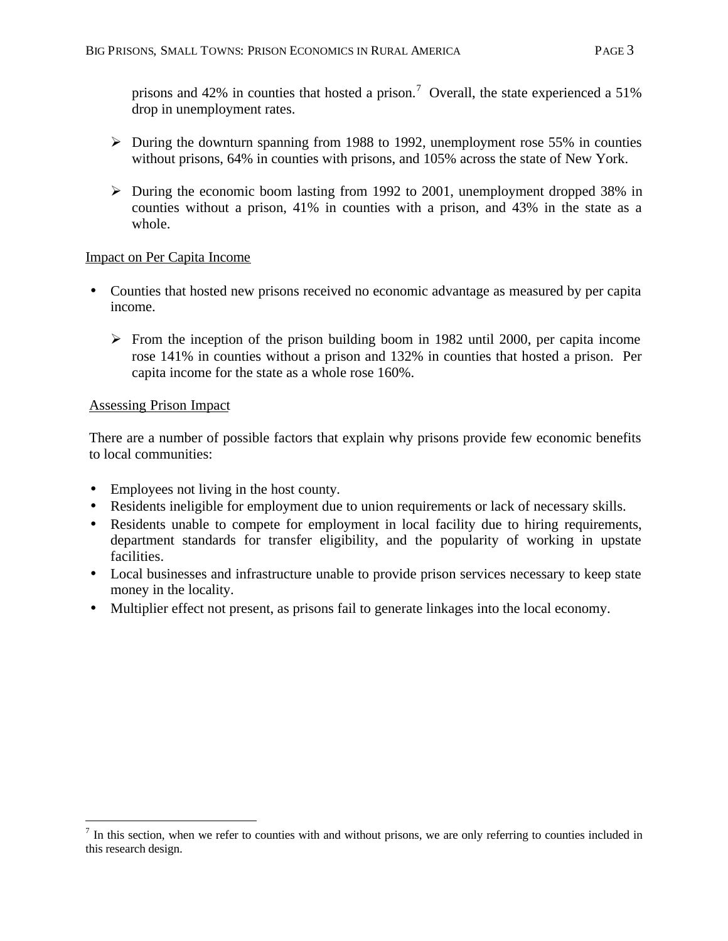prisons and 42% in counties that hosted a prison.<sup>7</sup> Overall, the state experienced a 51% drop in unemployment rates.

- $\triangleright$  During the downturn spanning from 1988 to 1992, unemployment rose 55% in counties without prisons, 64% in counties with prisons, and 105% across the state of New York.
- $\triangleright$  During the economic boom lasting from 1992 to 2001, unemployment dropped 38% in counties without a prison, 41% in counties with a prison, and 43% in the state as a whole.

### Impact on Per Capita Income

- Counties that hosted new prisons received no economic advantage as measured by per capita income.
	- $\triangleright$  From the inception of the prison building boom in 1982 until 2000, per capita income rose 141% in counties without a prison and 132% in counties that hosted a prison. Per capita income for the state as a whole rose 160%.

## Assessing Prison Impact

There are a number of possible factors that explain why prisons provide few economic benefits to local communities:

- Employees not living in the host county.
- Residents ineligible for employment due to union requirements or lack of necessary skills.
- Residents unable to compete for employment in local facility due to hiring requirements, department standards for transfer eligibility, and the popularity of working in upstate facilities.
- Local businesses and infrastructure unable to provide prison services necessary to keep state money in the locality.
- Multiplier effect not present, as prisons fail to generate linkages into the local economy.

<sup>&</sup>lt;sup>7</sup> In this section, when we refer to counties with and without prisons, we are only referring to counties included in this research design.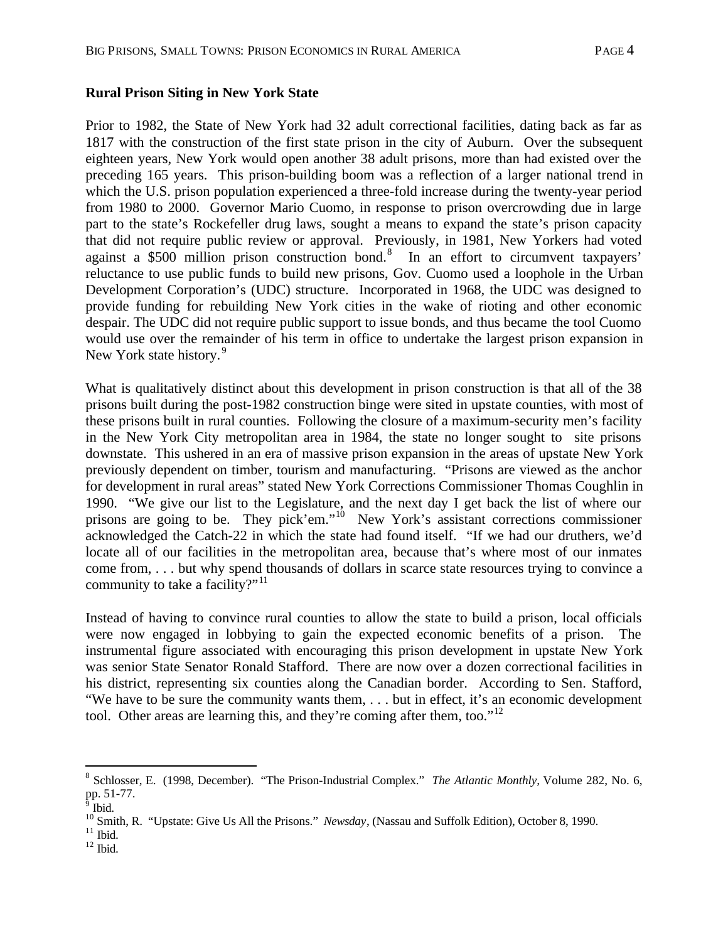#### **Rural Prison Siting in New York State**

Prior to 1982, the State of New York had 32 adult correctional facilities, dating back as far as 1817 with the construction of the first state prison in the city of Auburn. Over the subsequent eighteen years, New York would open another 38 adult prisons, more than had existed over the preceding 165 years. This prison-building boom was a reflection of a larger national trend in which the U.S. prison population experienced a three-fold increase during the twenty-year period from 1980 to 2000. Governor Mario Cuomo, in response to prison overcrowding due in large part to the state's Rockefeller drug laws, sought a means to expand the state's prison capacity that did not require public review or approval. Previously, in 1981, New Yorkers had voted against a \$500 million prison construction bond.<sup>8</sup> In an effort to circumvent taxpayers' reluctance to use public funds to build new prisons, Gov. Cuomo used a loophole in the Urban Development Corporation's (UDC) structure. Incorporated in 1968, the UDC was designed to provide funding for rebuilding New York cities in the wake of rioting and other economic despair. The UDC did not require public support to issue bonds, and thus became the tool Cuomo would use over the remainder of his term in office to undertake the largest prison expansion in New York state history.<sup>9</sup>

What is qualitatively distinct about this development in prison construction is that all of the 38 prisons built during the post-1982 construction binge were sited in upstate counties, with most of these prisons built in rural counties. Following the closure of a maximum-security men's facility in the New York City metropolitan area in 1984, the state no longer sought to site prisons downstate. This ushered in an era of massive prison expansion in the areas of upstate New York previously dependent on timber, tourism and manufacturing. "Prisons are viewed as the anchor for development in rural areas" stated New York Corrections Commissioner Thomas Coughlin in 1990. "We give our list to the Legislature, and the next day I get back the list of where our prisons are going to be. They pick'em."<sup>10</sup> New York's assistant corrections commissioner acknowledged the Catch-22 in which the state had found itself. "If we had our druthers, we'd locate all of our facilities in the metropolitan area, because that's where most of our inmates come from, . . . but why spend thousands of dollars in scarce state resources trying to convince a community to take a facility?"<sup>11</sup>

Instead of having to convince rural counties to allow the state to build a prison, local officials were now engaged in lobbying to gain the expected economic benefits of a prison. The instrumental figure associated with encouraging this prison development in upstate New York was senior State Senator Ronald Stafford. There are now over a dozen correctional facilities in his district, representing six counties along the Canadian border. According to Sen. Stafford, "We have to be sure the community wants them, . . . but in effect, it's an economic development tool. Other areas are learning this, and they're coming after them, too."<sup>12</sup>

<sup>8</sup> Schlosser, E. (1998, December). "The Prison-Industrial Complex." *The Atlantic Monthly,* Volume 282, No. 6, pp. 51-77.

<sup>9</sup> Ibid.

<sup>10</sup> Smith, R. "Upstate: Give Us All the Prisons." *Newsday*, (Nassau and Suffolk Edition), October 8, 1990.

 $11$  Ibid.

 $12$  Ibid.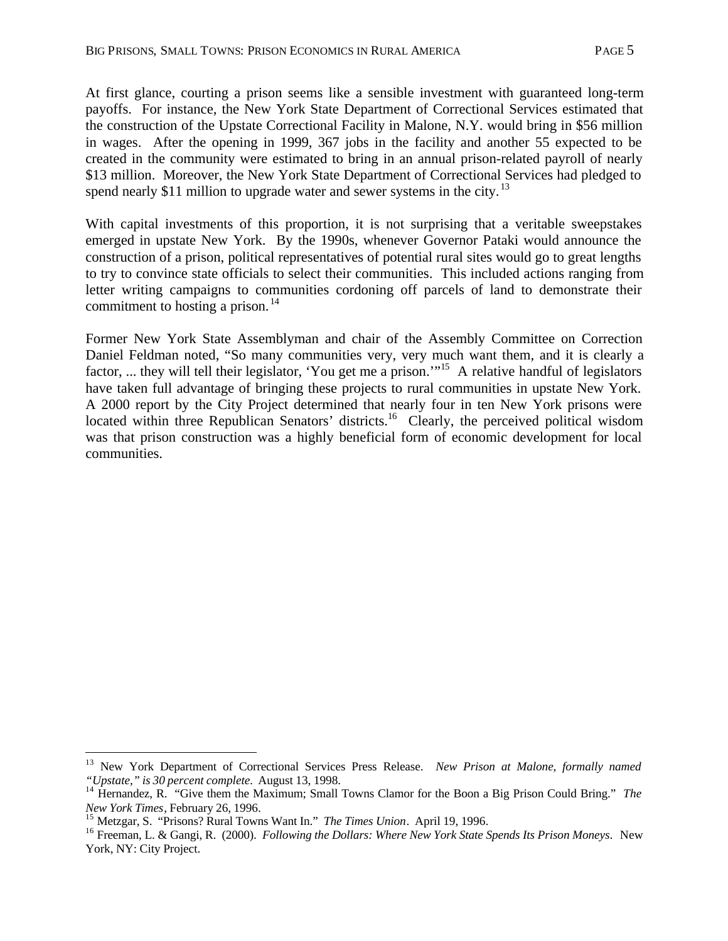At first glance, courting a prison seems like a sensible investment with guaranteed long-term payoffs. For instance, the New York State Department of Correctional Services estimated that the construction of the Upstate Correctional Facility in Malone, N.Y. would bring in \$56 million in wages. After the opening in 1999, 367 jobs in the facility and another 55 expected to be created in the community were estimated to bring in an annual prison-related payroll of nearly \$13 million. Moreover, the New York State Department of Correctional Services had pledged to spend nearly \$11 million to upgrade water and sewer systems in the city.<sup>13</sup>

With capital investments of this proportion, it is not surprising that a veritable sweepstakes emerged in upstate New York. By the 1990s, whenever Governor Pataki would announce the construction of a prison, political representatives of potential rural sites would go to great lengths to try to convince state officials to select their communities. This included actions ranging from letter writing campaigns to communities cordoning off parcels of land to demonstrate their commitment to hosting a prison.  $14$ 

Former New York State Assemblyman and chair of the Assembly Committee on Correction Daniel Feldman noted, "So many communities very, very much want them, and it is clearly a factor, ... they will tell their legislator, 'You get me a prison.'"<sup>15</sup> A relative handful of legislators have taken full advantage of bringing these projects to rural communities in upstate New York. A 2000 report by the City Project determined that nearly four in ten New York prisons were located within three Republican Senators' districts.<sup>16</sup> Clearly, the perceived political wisdom was that prison construction was a highly beneficial form of economic development for local communities.

<sup>13</sup> New York Department of Correctional Services Press Release. *New Prison at Malone, formally named "Upstate," is 30 percent complete.* August 13, 1998.

<sup>&</sup>lt;sup>14</sup> Hernandez, R. "Give them the Maximum; Small Towns Clamor for the Boon a Big Prison Could Bring." *The New York Times*, February 26, 1996.

<sup>15</sup> Metzgar, S. "Prisons? Rural Towns Want In." *The Times Union*. April 19, 1996.

<sup>16</sup> Freeman, L. & Gangi, R. (2000). *Following the Dollars: Where New York State Spends Its Prison Moneys*. New York, NY: City Project.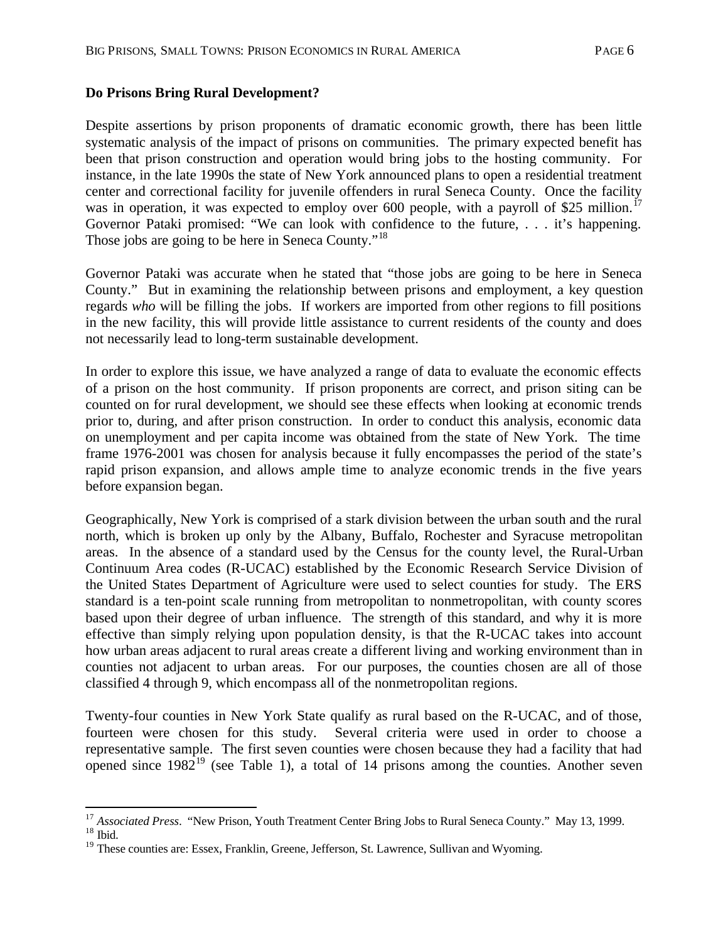#### **Do Prisons Bring Rural Development?**

Despite assertions by prison proponents of dramatic economic growth, there has been little systematic analysis of the impact of prisons on communities. The primary expected benefit has been that prison construction and operation would bring jobs to the hosting community. For instance, in the late 1990s the state of New York announced plans to open a residential treatment center and correctional facility for juvenile offenders in rural Seneca County. Once the facility was in operation, it was expected to employ over 600 people, with a payroll of \$25 million.<sup>17</sup> Governor Pataki promised: "We can look with confidence to the future, . . . it's happening. Those jobs are going to be here in Seneca County."<sup>18</sup>

Governor Pataki was accurate when he stated that "those jobs are going to be here in Seneca County." But in examining the relationship between prisons and employment, a key question regards *who* will be filling the jobs. If workers are imported from other regions to fill positions in the new facility, this will provide little assistance to current residents of the county and does not necessarily lead to long-term sustainable development.

In order to explore this issue, we have analyzed a range of data to evaluate the economic effects of a prison on the host community. If prison proponents are correct, and prison siting can be counted on for rural development, we should see these effects when looking at economic trends prior to, during, and after prison construction. In order to conduct this analysis, economic data on unemployment and per capita income was obtained from the state of New York. The time frame 1976-2001 was chosen for analysis because it fully encompasses the period of the state's rapid prison expansion, and allows ample time to analyze economic trends in the five years before expansion began.

Geographically, New York is comprised of a stark division between the urban south and the rural north, which is broken up only by the Albany, Buffalo, Rochester and Syracuse metropolitan areas. In the absence of a standard used by the Census for the county level, the Rural-Urban Continuum Area codes (R-UCAC) established by the Economic Research Service Division of the United States Department of Agriculture were used to select counties for study. The ERS standard is a ten-point scale running from metropolitan to nonmetropolitan, with county scores based upon their degree of urban influence. The strength of this standard, and why it is more effective than simply relying upon population density, is that the R-UCAC takes into account how urban areas adjacent to rural areas create a different living and working environment than in counties not adjacent to urban areas. For our purposes, the counties chosen are all of those classified 4 through 9, which encompass all of the nonmetropolitan regions.

Twenty-four counties in New York State qualify as rural based on the R-UCAC, and of those, fourteen were chosen for this study. Several criteria were used in order to choose a representative sample. The first seven counties were chosen because they had a facility that had opened since  $1982^{19}$  (see Table 1), a total of 14 prisons among the counties. Another seven

<sup>&</sup>lt;sup>17</sup> Associated Press. "New Prison, Youth Treatment Center Bring Jobs to Rural Seneca County." May 13, 1999.  $^{\rm 18}$  Ibid.

<sup>&</sup>lt;sup>19</sup> These counties are: Essex, Franklin, Greene, Jefferson, St. Lawrence, Sullivan and Wyoming.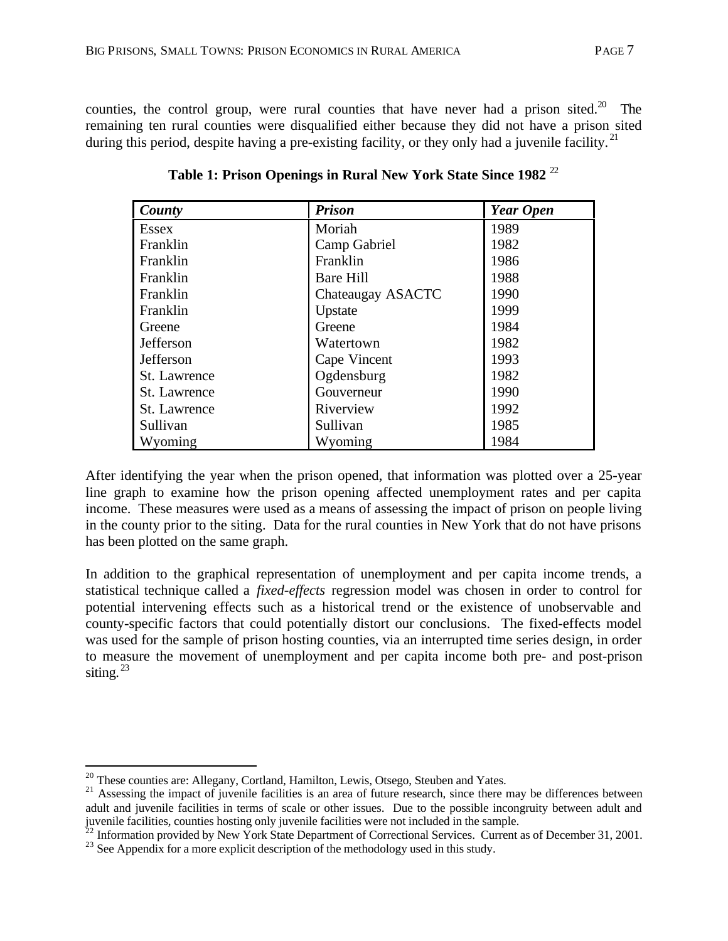counties, the control group, were rural counties that have never had a prison sited.<sup>20</sup> The remaining ten rural counties were disqualified either because they did not have a prison sited during this period, despite having a pre-existing facility, or they only had a juvenile facility.<sup>21</sup>

| County       | <b>Prison</b>     | <b>Year Open</b> |
|--------------|-------------------|------------------|
| Essex        | Moriah            | 1989             |
| Franklin     | Camp Gabriel      | 1982             |
| Franklin     | Franklin          | 1986             |
| Franklin     | <b>Bare Hill</b>  | 1988             |
| Franklin     | Chateaugay ASACTC | 1990             |
| Franklin     | Upstate           | 1999             |
| Greene       | Greene            | 1984             |
| Jefferson    | Watertown         | 1982             |
| Jefferson    | Cape Vincent      | 1993             |
| St. Lawrence | Ogdensburg        | 1982             |
| St. Lawrence | Gouverneur        | 1990             |
| St. Lawrence | Riverview         | 1992             |
| Sullivan     | Sullivan          | 1985             |
| Wyoming      | Wyoming           | 1984             |

**Table 1: Prison Openings in Rural New York State Since 1982** <sup>22</sup>

After identifying the year when the prison opened, that information was plotted over a 25-year line graph to examine how the prison opening affected unemployment rates and per capita income. These measures were used as a means of assessing the impact of prison on people living in the county prior to the siting. Data for the rural counties in New York that do not have prisons has been plotted on the same graph.

In addition to the graphical representation of unemployment and per capita income trends, a statistical technique called a *fixed-effects* regression model was chosen in order to control for potential intervening effects such as a historical trend or the existence of unobservable and county-specific factors that could potentially distort our conclusions. The fixed-effects model was used for the sample of prison hosting counties, via an interrupted time series design, in order to measure the movement of unemployment and per capita income both pre- and post-prison siting.  $23$ 

<sup>&</sup>lt;sup>20</sup> These counties are: Allegany, Cortland, Hamilton, Lewis, Otsego, Steuben and Yates.

 $21$  Assessing the impact of juvenile facilities is an area of future research, since there may be differences between adult and juvenile facilities in terms of scale or other issues. Due to the possible incongruity between adult and juvenile facilities, counties hosting only juvenile facilities were not included in the sample.

<sup>22</sup> Information provided by New York State Department of Correctional Services. Current as of December 31, 2001.

<sup>&</sup>lt;sup>23</sup> See Appendix for a more explicit description of the methodology used in this study.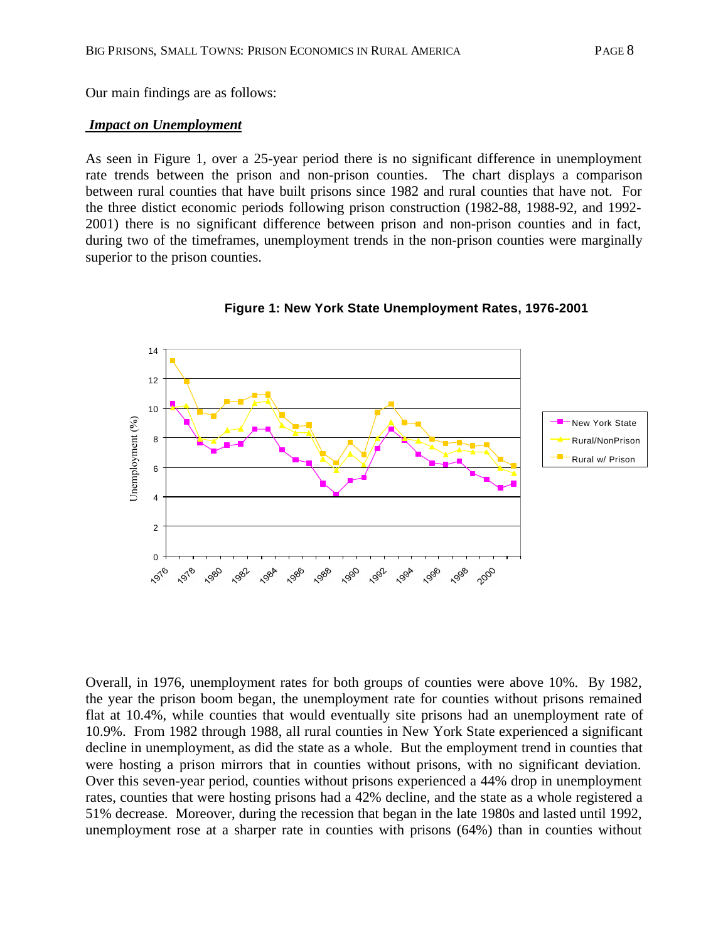Our main findings are as follows:

#### *Impact on Unemployment*

As seen in Figure 1, over a 25-year period there is no significant difference in unemployment rate trends between the prison and non-prison counties. The chart displays a comparison between rural counties that have built prisons since 1982 and rural counties that have not. For the three distict economic periods following prison construction (1982-88, 1988-92, and 1992- 2001) there is no significant difference between prison and non-prison counties and in fact, during two of the timeframes, unemployment trends in the non-prison counties were marginally superior to the prison counties.



**Figure 1: New York State Unemployment Rates, 1976-2001**

Overall, in 1976, unemployment rates for both groups of counties were above 10%. By 1982, the year the prison boom began, the unemployment rate for counties without prisons remained flat at 10.4%, while counties that would eventually site prisons had an unemployment rate of 10.9%. From 1982 through 1988, all rural counties in New York State experienced a significant decline in unemployment, as did the state as a whole. But the employment trend in counties that were hosting a prison mirrors that in counties without prisons, with no significant deviation. Over this seven-year period, counties without prisons experienced a 44% drop in unemployment rates, counties that were hosting prisons had a 42% decline, and the state as a whole registered a 51% decrease. Moreover, during the recession that began in the late 1980s and lasted until 1992, unemployment rose at a sharper rate in counties with prisons (64%) than in counties without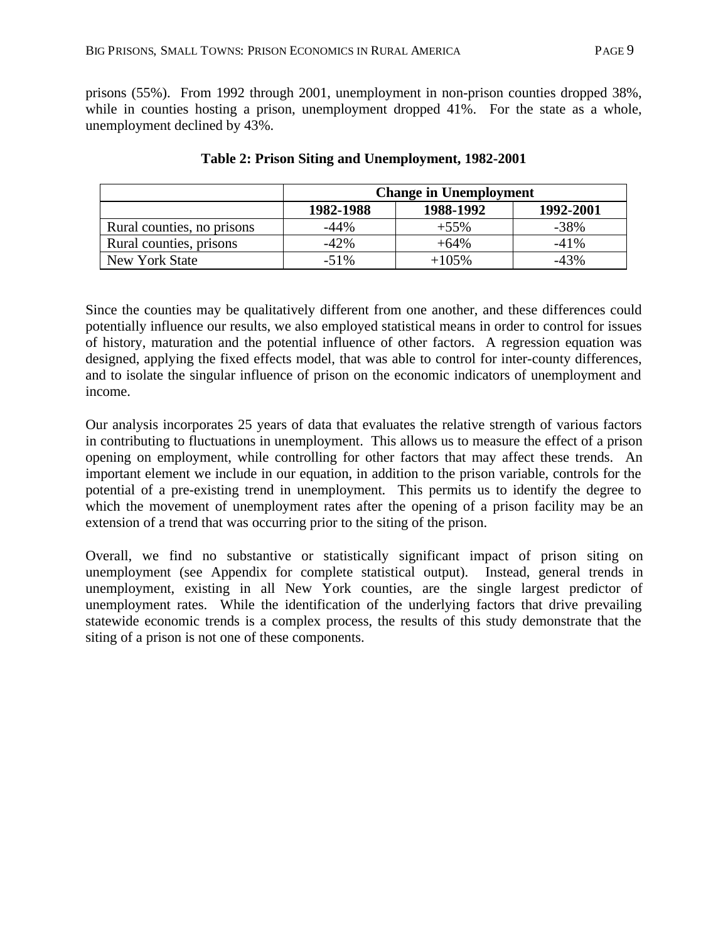prisons (55%). From 1992 through 2001, unemployment in non-prison counties dropped 38%, while in counties hosting a prison, unemployment dropped 41%. For the state as a whole, unemployment declined by 43%.

|                            | <b>Change in Unemployment</b> |           |           |
|----------------------------|-------------------------------|-----------|-----------|
|                            | 1982-1988                     | 1988-1992 | 1992-2001 |
| Rural counties, no prisons | $-44%$                        | $+55\%$   | $-38%$    |
| Rural counties, prisons    | $-42\%$                       | $+64%$    | $-41\%$   |
| New York State             | $-51\%$                       | $+105%$   | $-43%$    |

#### **Table 2: Prison Siting and Unemployment, 1982-2001**

Since the counties may be qualitatively different from one another, and these differences could potentially influence our results, we also employed statistical means in order to control for issues of history, maturation and the potential influence of other factors. A regression equation was designed, applying the fixed effects model, that was able to control for inter-county differences, and to isolate the singular influence of prison on the economic indicators of unemployment and income.

Our analysis incorporates 25 years of data that evaluates the relative strength of various factors in contributing to fluctuations in unemployment. This allows us to measure the effect of a prison opening on employment, while controlling for other factors that may affect these trends. An important element we include in our equation, in addition to the prison variable, controls for the potential of a pre-existing trend in unemployment. This permits us to identify the degree to which the movement of unemployment rates after the opening of a prison facility may be an extension of a trend that was occurring prior to the siting of the prison.

Overall, we find no substantive or statistically significant impact of prison siting on unemployment (see Appendix for complete statistical output). Instead, general trends in unemployment, existing in all New York counties, are the single largest predictor of unemployment rates. While the identification of the underlying factors that drive prevailing statewide economic trends is a complex process, the results of this study demonstrate that the siting of a prison is not one of these components.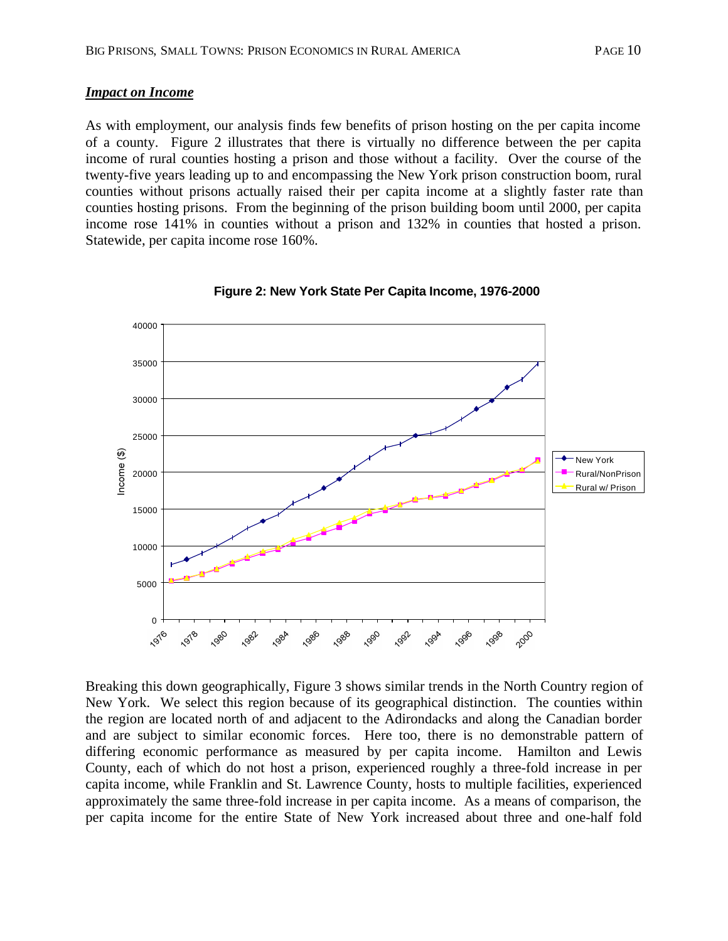#### *Impact on Income*

As with employment, our analysis finds few benefits of prison hosting on the per capita income of a county. Figure 2 illustrates that there is virtually no difference between the per capita income of rural counties hosting a prison and those without a facility. Over the course of the twenty-five years leading up to and encompassing the New York prison construction boom, rural counties without prisons actually raised their per capita income at a slightly faster rate than counties hosting prisons. From the beginning of the prison building boom until 2000, per capita income rose 141% in counties without a prison and 132% in counties that hosted a prison. Statewide, per capita income rose 160%.



**Figure 2: New York State Per Capita Income, 1976-2000**

Breaking this down geographically, Figure 3 shows similar trends in the North Country region of New York. We select this region because of its geographical distinction. The counties within the region are located north of and adjacent to the Adirondacks and along the Canadian border and are subject to similar economic forces. Here too, there is no demonstrable pattern of differing economic performance as measured by per capita income. Hamilton and Lewis County, each of which do not host a prison, experienced roughly a three-fold increase in per capita income, while Franklin and St. Lawrence County, hosts to multiple facilities, experienced approximately the same three-fold increase in per capita income. As a means of comparison, the per capita income for the entire State of New York increased about three and one-half fold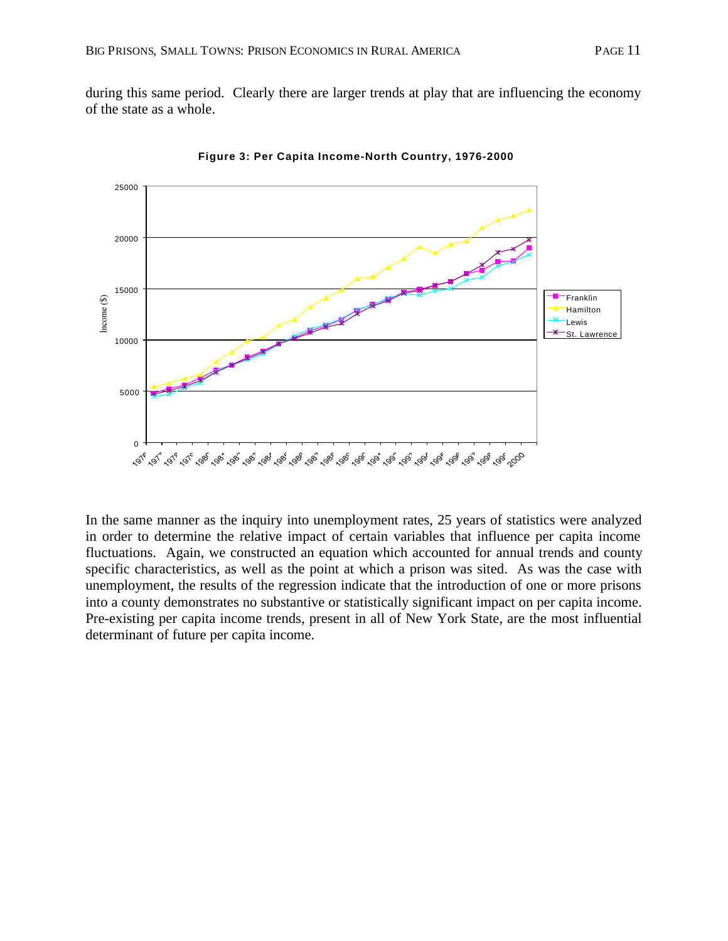during this same period. Clearly there are larger trends at play that are influencing the economy of the state as a whole.



**Figure 3: Per Capita Income-North Country, 1976-2000**

In the same manner as the inquiry into unemployment rates, 25 years of statistics were analyzed in order to determine the relative impact of certain variables that influence per capita income fluctuations. Again, we constructed an equation which accounted for annual trends and county specific characteristics, as well as the point at which a prison was sited. As was the case with unemployment, the results of the regression indicate that the introduction of one or more prisons into a county demonstrates no substantive or statistically significant impact on per capita income. Pre-existing per capita income trends, present in all of New York State, are the most influential determinant of future per capita income.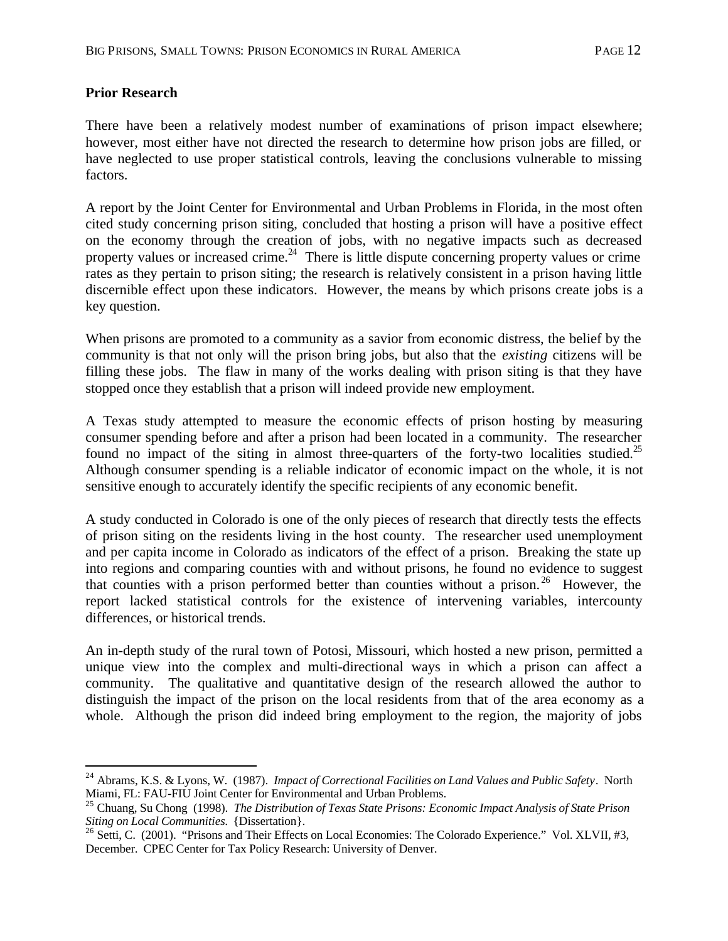#### **Prior Research**

 $\overline{a}$ 

There have been a relatively modest number of examinations of prison impact elsewhere; however, most either have not directed the research to determine how prison jobs are filled, or have neglected to use proper statistical controls, leaving the conclusions vulnerable to missing factors.

A report by the Joint Center for Environmental and Urban Problems in Florida, in the most often cited study concerning prison siting, concluded that hosting a prison will have a positive effect on the economy through the creation of jobs, with no negative impacts such as decreased property values or increased crime.<sup>24</sup> There is little dispute concerning property values or crime rates as they pertain to prison siting; the research is relatively consistent in a prison having little discernible effect upon these indicators. However, the means by which prisons create jobs is a key question.

When prisons are promoted to a community as a savior from economic distress, the belief by the community is that not only will the prison bring jobs, but also that the *existing* citizens will be filling these jobs. The flaw in many of the works dealing with prison siting is that they have stopped once they establish that a prison will indeed provide new employment.

A Texas study attempted to measure the economic effects of prison hosting by measuring consumer spending before and after a prison had been located in a community. The researcher found no impact of the siting in almost three-quarters of the forty-two localities studied.<sup>25</sup> Although consumer spending is a reliable indicator of economic impact on the whole, it is not sensitive enough to accurately identify the specific recipients of any economic benefit.

A study conducted in Colorado is one of the only pieces of research that directly tests the effects of prison siting on the residents living in the host county. The researcher used unemployment and per capita income in Colorado as indicators of the effect of a prison. Breaking the state up into regions and comparing counties with and without prisons, he found no evidence to suggest that counties with a prison performed better than counties without a prison.<sup>26</sup> However, the report lacked statistical controls for the existence of intervening variables, intercounty differences, or historical trends.

An in-depth study of the rural town of Potosi, Missouri, which hosted a new prison, permitted a unique view into the complex and multi-directional ways in which a prison can affect a community. The qualitative and quantitative design of the research allowed the author to distinguish the impact of the prison on the local residents from that of the area economy as a whole. Although the prison did indeed bring employment to the region, the majority of jobs

<sup>24</sup> Abrams, K.S. & Lyons, W. (1987). *Impact of Correctional Facilities on Land Values and Public Safety*. North Miami, FL: FAU-FIU Joint Center for Environmental and Urban Problems.

<sup>25</sup> Chuang, Su Chong (1998). *The Distribution of Texas State Prisons: Economic Impact Analysis of State Prison Siting on Local Communities.* {Dissertation}.

<sup>&</sup>lt;sup>26</sup> Setti, C. (2001). "Prisons and Their Effects on Local Economies: The Colorado Experience." Vol. XLVII, #3, December. CPEC Center for Tax Policy Research: University of Denver.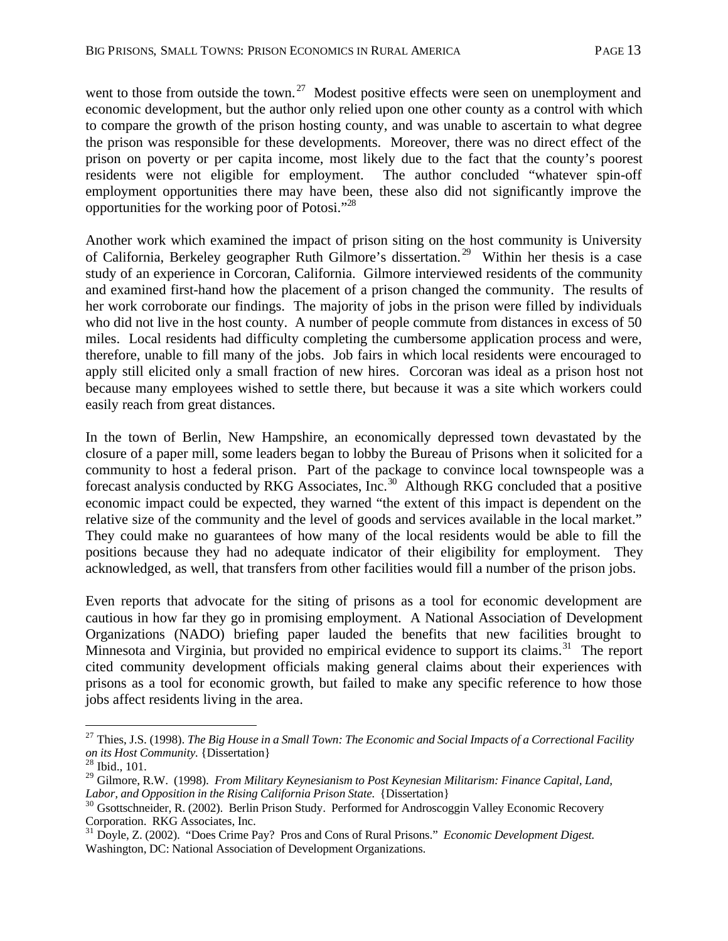went to those from outside the town.<sup>27</sup> Modest positive effects were seen on unemployment and economic development, but the author only relied upon one other county as a control with which to compare the growth of the prison hosting county, and was unable to ascertain to what degree the prison was responsible for these developments. Moreover, there was no direct effect of the prison on poverty or per capita income, most likely due to the fact that the county's poorest residents were not eligible for employment. The author concluded "whatever spin-off employment opportunities there may have been, these also did not significantly improve the opportunities for the working poor of Potosi."<sup>28</sup>

Another work which examined the impact of prison siting on the host community is University of California, Berkeley geographer Ruth Gilmore's dissertation. <sup>29</sup> Within her thesis is a case study of an experience in Corcoran, California. Gilmore interviewed residents of the community and examined first-hand how the placement of a prison changed the community. The results of her work corroborate our findings. The majority of jobs in the prison were filled by individuals who did not live in the host county. A number of people commute from distances in excess of 50 miles. Local residents had difficulty completing the cumbersome application process and were, therefore, unable to fill many of the jobs. Job fairs in which local residents were encouraged to apply still elicited only a small fraction of new hires. Corcoran was ideal as a prison host not because many employees wished to settle there, but because it was a site which workers could easily reach from great distances.

In the town of Berlin, New Hampshire, an economically depressed town devastated by the closure of a paper mill, some leaders began to lobby the Bureau of Prisons when it solicited for a community to host a federal prison. Part of the package to convince local townspeople was a forecast analysis conducted by RKG Associates, Inc.<sup>30</sup> Although RKG concluded that a positive economic impact could be expected, they warned "the extent of this impact is dependent on the relative size of the community and the level of goods and services available in the local market." They could make no guarantees of how many of the local residents would be able to fill the positions because they had no adequate indicator of their eligibility for employment. They acknowledged, as well, that transfers from other facilities would fill a number of the prison jobs.

Even reports that advocate for the siting of prisons as a tool for economic development are cautious in how far they go in promising employment. A National Association of Development Organizations (NADO) briefing paper lauded the benefits that new facilities brought to Minnesota and Virginia, but provided no empirical evidence to support its claims.<sup>31</sup> The report cited community development officials making general claims about their experiences with prisons as a tool for economic growth, but failed to make any specific reference to how those jobs affect residents living in the area.

<sup>27</sup> Thies, J.S. (1998). *The Big House in a Small Town: The Economic and Social Impacts of a Correctional Facility on its Host Community.* {Dissertation}<br><sup>28</sup> Li<sup>4</sup> 101

Ibid., 101.

<sup>29</sup> Gilmore, R.W. (1998). *From Military Keynesianism to Post Keynesian Militarism: Finance Capital, Land, Labor, and Opposition in the Rising California Prison State.* {Dissertation}

<sup>&</sup>lt;sup>30</sup> Gsottschneider, R. (2002). Berlin Prison Study. Performed for Androscoggin Valley Economic Recovery Corporation. RKG Associates, Inc.

<sup>31</sup> Doyle, Z. (2002). "Does Crime Pay? Pros and Cons of Rural Prisons." *Economic Development Digest.* Washington, DC: National Association of Development Organizations.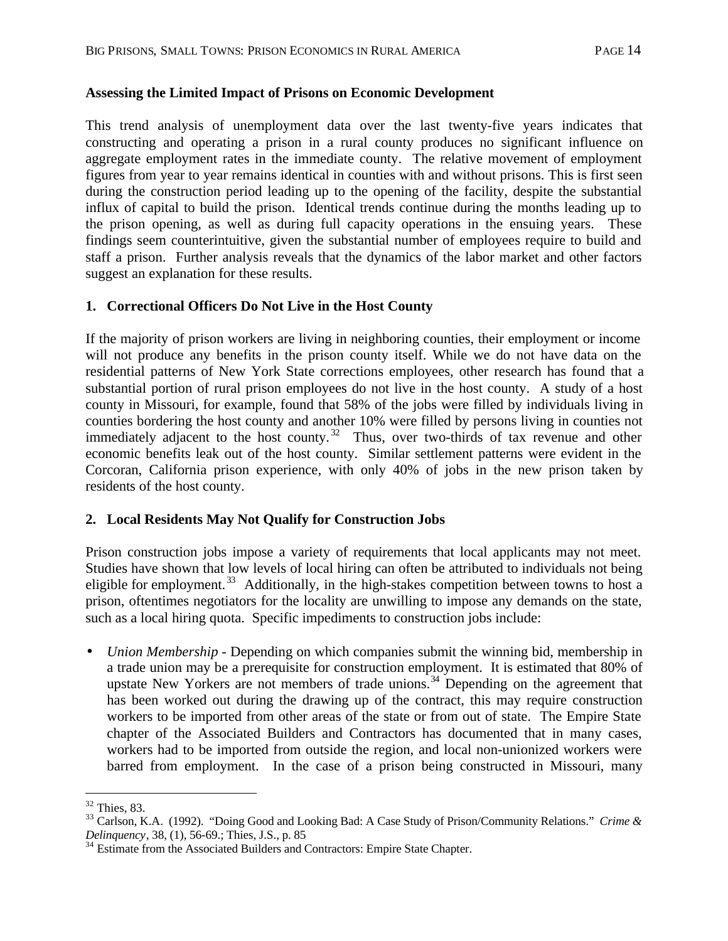#### **Assessing the Limited Impact of Prisons on Economic Development**

This trend analysis of unemployment data over the last twenty-five years indicates that constructing and operating a prison in a rural county produces no significant influence on aggregate employment rates in the immediate county. The relative movement of employment figures from year to year remains identical in counties with and without prisons. This is first seen during the construction period leading up to the opening of the facility, despite the substantial influx of capital to build the prison. Identical trends continue during the months leading up to the prison opening, as well as during full capacity operations in the ensuing years. These findings seem counterintuitive, given the substantial number of employees require to build and staff a prison. Further analysis reveals that the dynamics of the labor market and other factors suggest an explanation for these results.

#### **1. Correctional Officers Do Not Live in the Host County**

If the majority of prison workers are living in neighboring counties, their employment or income will not produce any benefits in the prison county itself. While we do not have data on the residential patterns of New York State corrections employees, other research has found that a substantial portion of rural prison employees do not live in the host county. A study of a host county in Missouri, for example, found that 58% of the jobs were filled by individuals living in counties bordering the host county and another 10% were filled by persons living in counties not immediately adjacent to the host county.<sup>32</sup> Thus, over two-thirds of tax revenue and other economic benefits leak out of the host county. Similar settlement patterns were evident in the Corcoran, California prison experience, with only 40% of jobs in the new prison taken by residents of the host county.

#### **2. Local Residents May Not Qualify for Construction Jobs**

Prison construction jobs impose a variety of requirements that local applicants may not meet. Studies have shown that low levels of local hiring can often be attributed to individuals not being eligible for employment.<sup>33</sup> Additionally, in the high-stakes competition between towns to host a prison, oftentimes negotiators for the locality are unwilling to impose any demands on the state, such as a local hiring quota. Specific impediments to construction jobs include:

• *Union Membership* - Depending on which companies submit the winning bid, membership in a trade union may be a prerequisite for construction employment. It is estimated that 80% of upstate New Yorkers are not members of trade unions.<sup>34</sup> Depending on the agreement that has been worked out during the drawing up of the contract, this may require construction workers to be imported from other areas of the state or from out of state. The Empire State chapter of the Associated Builders and Contractors has documented that in many cases, workers had to be imported from outside the region, and local non-unionized workers were barred from employment. In the case of a prison being constructed in Missouri, many

 $32$  Thies, 83.

<sup>33</sup> Carlson, K.A. (1992). "Doing Good and Looking Bad: A Case Study of Prison/Community Relations." *Crime & Delinquency*, 38, (1), 56-69.; Thies, J.S., p. 85

<sup>&</sup>lt;sup>34</sup> Estimate from the Associated Builders and Contractors: Empire State Chapter.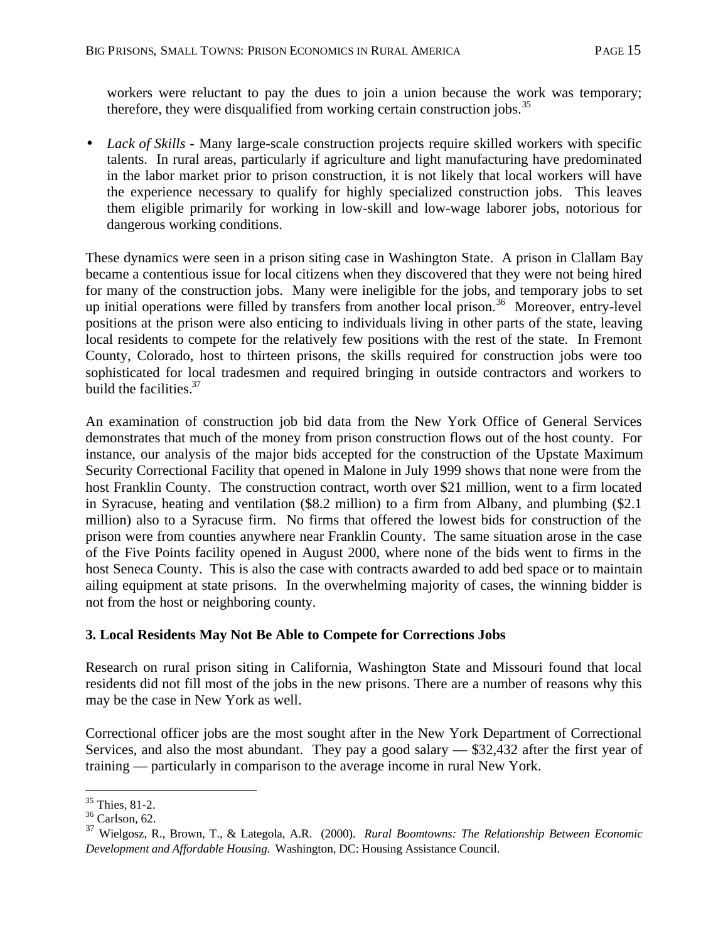workers were reluctant to pay the dues to join a union because the work was temporary; therefore, they were disqualified from working certain construction jobs.<sup>35</sup>

• *Lack of Skills* - Many large-scale construction projects require skilled workers with specific talents. In rural areas, particularly if agriculture and light manufacturing have predominated in the labor market prior to prison construction, it is not likely that local workers will have the experience necessary to qualify for highly specialized construction jobs. This leaves them eligible primarily for working in low-skill and low-wage laborer jobs, notorious for dangerous working conditions.

These dynamics were seen in a prison siting case in Washington State. A prison in Clallam Bay became a contentious issue for local citizens when they discovered that they were not being hired for many of the construction jobs. Many were ineligible for the jobs, and temporary jobs to set up initial operations were filled by transfers from another local prison.<sup>36</sup> Moreover, entry-level positions at the prison were also enticing to individuals living in other parts of the state, leaving local residents to compete for the relatively few positions with the rest of the state. In Fremont County, Colorado, host to thirteen prisons, the skills required for construction jobs were too sophisticated for local tradesmen and required bringing in outside contractors and workers to build the facilities.<sup>37</sup>

An examination of construction job bid data from the New York Office of General Services demonstrates that much of the money from prison construction flows out of the host county. For instance, our analysis of the major bids accepted for the construction of the Upstate Maximum Security Correctional Facility that opened in Malone in July 1999 shows that none were from the host Franklin County. The construction contract, worth over \$21 million, went to a firm located in Syracuse, heating and ventilation (\$8.2 million) to a firm from Albany, and plumbing (\$2.1 million) also to a Syracuse firm. No firms that offered the lowest bids for construction of the prison were from counties anywhere near Franklin County. The same situation arose in the case of the Five Points facility opened in August 2000, where none of the bids went to firms in the host Seneca County. This is also the case with contracts awarded to add bed space or to maintain ailing equipment at state prisons. In the overwhelming majority of cases, the winning bidder is not from the host or neighboring county.

## **3. Local Residents May Not Be Able to Compete for Corrections Jobs**

Research on rural prison siting in California, Washington State and Missouri found that local residents did not fill most of the jobs in the new prisons. There are a number of reasons why this may be the case in New York as well.

Correctional officer jobs are the most sought after in the New York Department of Correctional Services, and also the most abundant. They pay a good salary — \$32,432 after the first year of training — particularly in comparison to the average income in rural New York.

 $\overline{a}$ <sup>35</sup> Thies, 81-2.

<sup>36</sup> Carlson, 62.

<sup>37</sup> Wielgosz, R., Brown, T., & Lategola, A.R. (2000). *Rural Boomtowns: The Relationship Between Economic Development and Affordable Housing.* Washington, DC: Housing Assistance Council.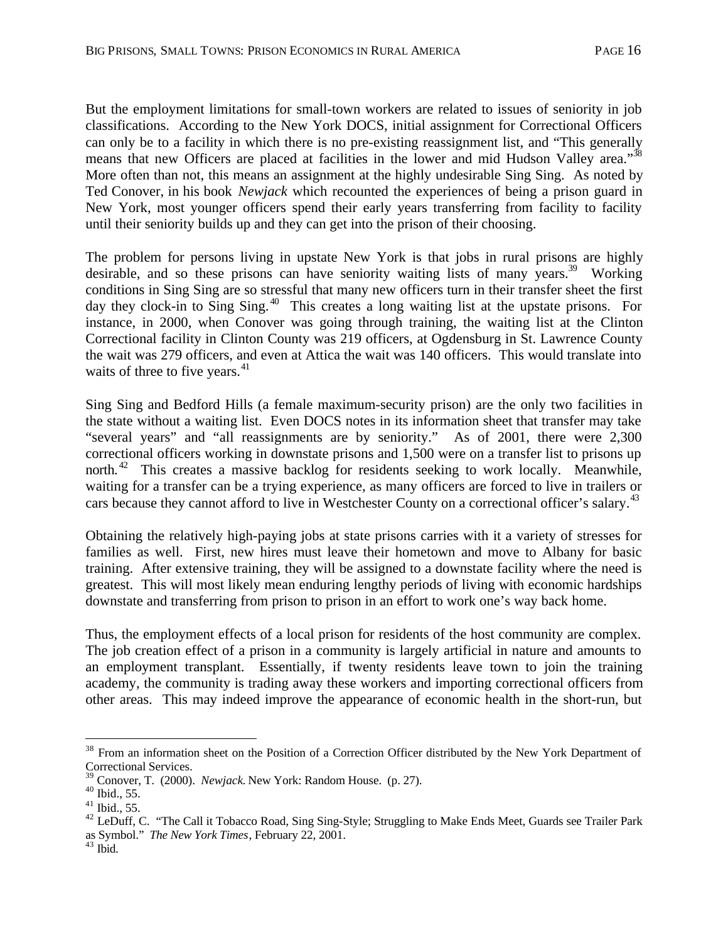But the employment limitations for small-town workers are related to issues of seniority in job classifications. According to the New York DOCS, initial assignment for Correctional Officers can only be to a facility in which there is no pre-existing reassignment list, and "This generally means that new Officers are placed at facilities in the lower and mid Hudson Valley area."<sup>38</sup> More often than not, this means an assignment at the highly undesirable Sing Sing. As noted by Ted Conover, in his book *Newjack* which recounted the experiences of being a prison guard in New York, most younger officers spend their early years transferring from facility to facility until their seniority builds up and they can get into the prison of their choosing.

The problem for persons living in upstate New York is that jobs in rural prisons are highly desirable, and so these prisons can have seniority waiting lists of many years.<sup>39</sup> Working conditions in Sing Sing are so stressful that many new officers turn in their transfer sheet the first day they clock-in to Sing Sing.<sup>40</sup> This creates a long waiting list at the upstate prisons. For instance, in 2000, when Conover was going through training, the waiting list at the Clinton Correctional facility in Clinton County was 219 officers, at Ogdensburg in St. Lawrence County the wait was 279 officers, and even at Attica the wait was 140 officers. This would translate into waits of three to five years.<sup>41</sup>

Sing Sing and Bedford Hills (a female maximum-security prison) are the only two facilities in the state without a waiting list. Even DOCS notes in its information sheet that transfer may take "several years" and "all reassignments are by seniority." As of 2001, there were 2,300 correctional officers working in downstate prisons and 1,500 were on a transfer list to prisons up north.<sup>42</sup> This creates a massive backlog for residents seeking to work locally. Meanwhile, waiting for a transfer can be a trying experience, as many officers are forced to live in trailers or cars because they cannot afford to live in Westchester County on a correctional officer's salary.<sup>43</sup>

Obtaining the relatively high-paying jobs at state prisons carries with it a variety of stresses for families as well. First, new hires must leave their hometown and move to Albany for basic training. After extensive training, they will be assigned to a downstate facility where the need is greatest. This will most likely mean enduring lengthy periods of living with economic hardships downstate and transferring from prison to prison in an effort to work one's way back home.

Thus, the employment effects of a local prison for residents of the host community are complex. The job creation effect of a prison in a community is largely artificial in nature and amounts to an employment transplant. Essentially, if twenty residents leave town to join the training academy, the community is trading away these workers and importing correctional officers from other areas. This may indeed improve the appearance of economic health in the short-run, but

<sup>&</sup>lt;sup>38</sup> From an information sheet on the Position of a Correction Officer distributed by the New York Department of Correctional Services.

<sup>39</sup> Conover, T. (2000). *Newjack.* New York: Random House. (p. 27).

 $40$  Ibid., 55.

 $41$  Ibid., 55.

 $^{42}$  LeDuff, C. "The Call it Tobacco Road, Sing Sing-Style; Struggling to Make Ends Meet, Guards see Trailer Park as Symbol." *The New York Times*, February 22, 2001.

 $43$  Ibid.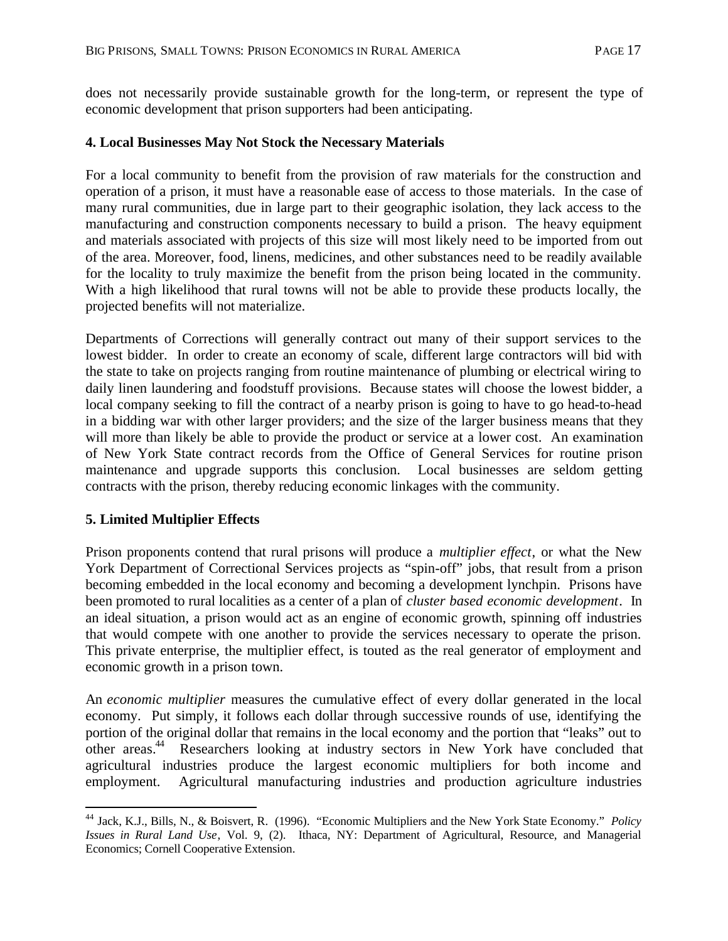does not necessarily provide sustainable growth for the long-term, or represent the type of economic development that prison supporters had been anticipating.

#### **4. Local Businesses May Not Stock the Necessary Materials**

For a local community to benefit from the provision of raw materials for the construction and operation of a prison, it must have a reasonable ease of access to those materials. In the case of many rural communities, due in large part to their geographic isolation, they lack access to the manufacturing and construction components necessary to build a prison. The heavy equipment and materials associated with projects of this size will most likely need to be imported from out of the area. Moreover, food, linens, medicines, and other substances need to be readily available for the locality to truly maximize the benefit from the prison being located in the community. With a high likelihood that rural towns will not be able to provide these products locally, the projected benefits will not materialize.

Departments of Corrections will generally contract out many of their support services to the lowest bidder. In order to create an economy of scale, different large contractors will bid with the state to take on projects ranging from routine maintenance of plumbing or electrical wiring to daily linen laundering and foodstuff provisions. Because states will choose the lowest bidder, a local company seeking to fill the contract of a nearby prison is going to have to go head-to-head in a bidding war with other larger providers; and the size of the larger business means that they will more than likely be able to provide the product or service at a lower cost. An examination of New York State contract records from the Office of General Services for routine prison maintenance and upgrade supports this conclusion. Local businesses are seldom getting contracts with the prison, thereby reducing economic linkages with the community.

#### **5. Limited Multiplier Effects**

 $\overline{a}$ 

Prison proponents contend that rural prisons will produce a *multiplier effect*, or what the New York Department of Correctional Services projects as "spin-off" jobs, that result from a prison becoming embedded in the local economy and becoming a development lynchpin. Prisons have been promoted to rural localities as a center of a plan of *cluster based economic development*. In an ideal situation, a prison would act as an engine of economic growth, spinning off industries that would compete with one another to provide the services necessary to operate the prison. This private enterprise, the multiplier effect, is touted as the real generator of employment and economic growth in a prison town.

An *economic multiplier* measures the cumulative effect of every dollar generated in the local economy. Put simply, it follows each dollar through successive rounds of use, identifying the portion of the original dollar that remains in the local economy and the portion that "leaks" out to other areas.<sup>44</sup> Researchers looking at industry sectors in New York have concluded that agricultural industries produce the largest economic multipliers for both income and employment. Agricultural manufacturing industries and production agriculture industries

<sup>44</sup> Jack, K.J., Bills, N., & Boisvert, R. (1996). "Economic Multipliers and the New York State Economy." *Policy Issues in Rural Land Use*, Vol. 9, (2). Ithaca, NY: Department of Agricultural, Resource, and Managerial Economics; Cornell Cooperative Extension.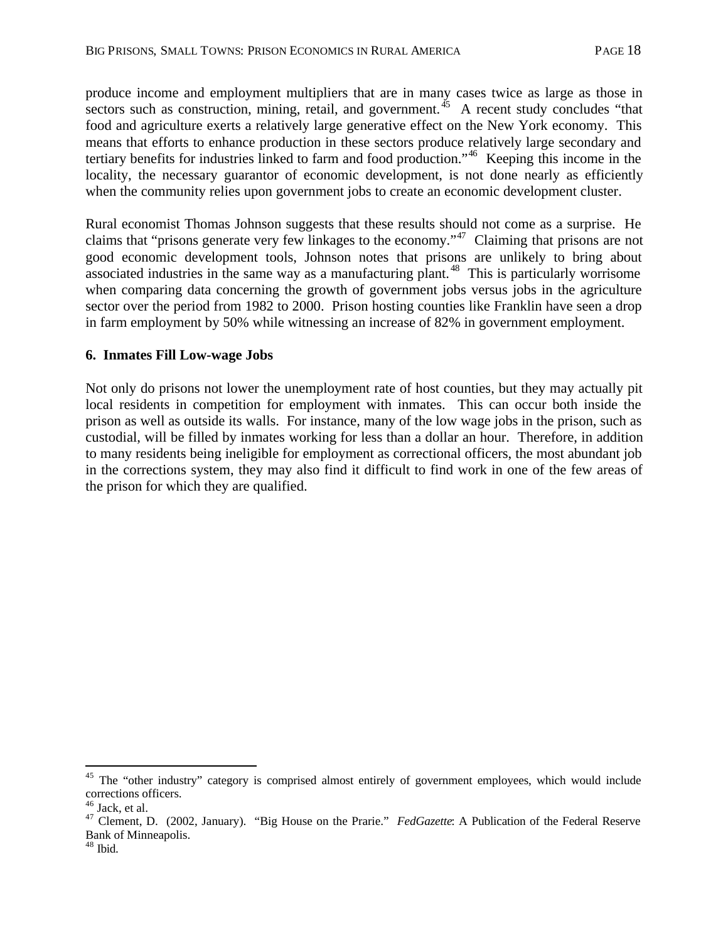produce income and employment multipliers that are in many cases twice as large as those in sectors such as construction, mining, retail, and government.  $45$  A recent study concludes "that food and agriculture exerts a relatively large generative effect on the New York economy. This means that efforts to enhance production in these sectors produce relatively large secondary and tertiary benefits for industries linked to farm and food production."<sup>46</sup> Keeping this income in the locality, the necessary guarantor of economic development, is not done nearly as efficiently when the community relies upon government jobs to create an economic development cluster.

Rural economist Thomas Johnson suggests that these results should not come as a surprise. He claims that "prisons generate very few linkages to the economy."<sup>47</sup> Claiming that prisons are not good economic development tools, Johnson notes that prisons are unlikely to bring about associated industries in the same way as a manufacturing plant.<sup>48</sup> This is particularly worrisome when comparing data concerning the growth of government jobs versus jobs in the agriculture sector over the period from 1982 to 2000. Prison hosting counties like Franklin have seen a drop in farm employment by 50% while witnessing an increase of 82% in government employment.

#### **6. Inmates Fill Low-wage Jobs**

Not only do prisons not lower the unemployment rate of host counties, but they may actually pit local residents in competition for employment with inmates. This can occur both inside the prison as well as outside its walls. For instance, many of the low wage jobs in the prison, such as custodial, will be filled by inmates working for less than a dollar an hour. Therefore, in addition to many residents being ineligible for employment as correctional officers, the most abundant job in the corrections system, they may also find it difficult to find work in one of the few areas of the prison for which they are qualified.

<sup>&</sup>lt;sup>45</sup> The "other industry" category is comprised almost entirely of government employees, which would include corrections officers.

<sup>46</sup> Jack, et al.

<sup>47</sup> Clement, D. (2002, January). "Big House on the Prarie." *FedGazette*: A Publication of the Federal Reserve Bank of Minneapolis.

 $48$  Ibid.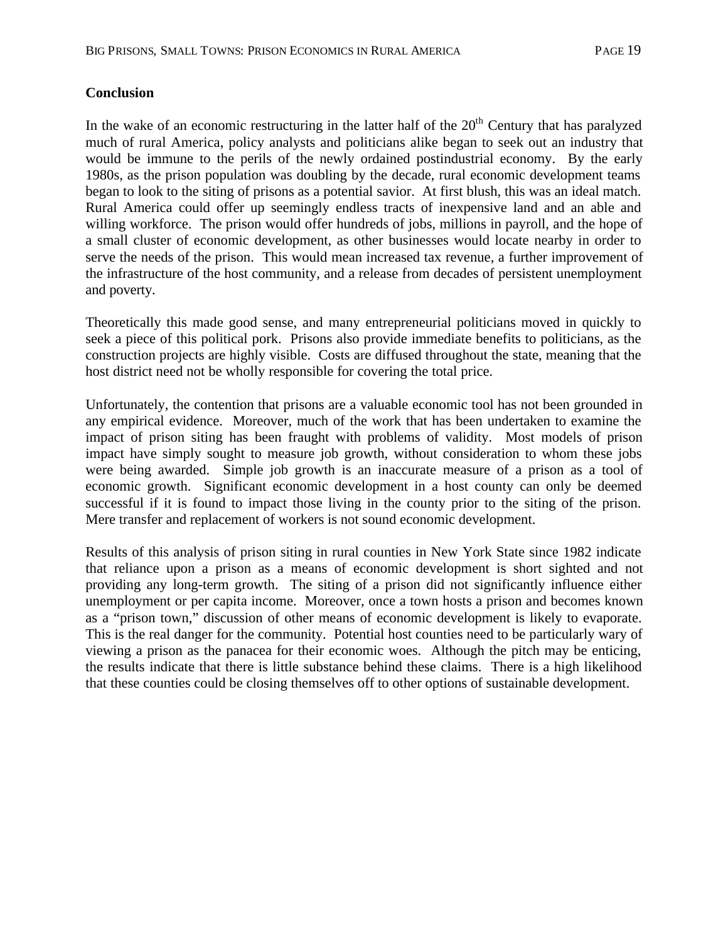#### **Conclusion**

In the wake of an economic restructuring in the latter half of the  $20<sup>th</sup>$  Century that has paralyzed much of rural America, policy analysts and politicians alike began to seek out an industry that would be immune to the perils of the newly ordained postindustrial economy. By the early 1980s, as the prison population was doubling by the decade, rural economic development teams began to look to the siting of prisons as a potential savior. At first blush, this was an ideal match. Rural America could offer up seemingly endless tracts of inexpensive land and an able and willing workforce. The prison would offer hundreds of jobs, millions in payroll, and the hope of a small cluster of economic development, as other businesses would locate nearby in order to serve the needs of the prison. This would mean increased tax revenue, a further improvement of the infrastructure of the host community, and a release from decades of persistent unemployment and poverty.

Theoretically this made good sense, and many entrepreneurial politicians moved in quickly to seek a piece of this political pork. Prisons also provide immediate benefits to politicians, as the construction projects are highly visible. Costs are diffused throughout the state, meaning that the host district need not be wholly responsible for covering the total price.

Unfortunately, the contention that prisons are a valuable economic tool has not been grounded in any empirical evidence. Moreover, much of the work that has been undertaken to examine the impact of prison siting has been fraught with problems of validity. Most models of prison impact have simply sought to measure job growth, without consideration to whom these jobs were being awarded. Simple job growth is an inaccurate measure of a prison as a tool of economic growth. Significant economic development in a host county can only be deemed successful if it is found to impact those living in the county prior to the siting of the prison. Mere transfer and replacement of workers is not sound economic development.

Results of this analysis of prison siting in rural counties in New York State since 1982 indicate that reliance upon a prison as a means of economic development is short sighted and not providing any long-term growth. The siting of a prison did not significantly influence either unemployment or per capita income. Moreover, once a town hosts a prison and becomes known as a "prison town," discussion of other means of economic development is likely to evaporate. This is the real danger for the community. Potential host counties need to be particularly wary of viewing a prison as the panacea for their economic woes. Although the pitch may be enticing, the results indicate that there is little substance behind these claims. There is a high likelihood that these counties could be closing themselves off to other options of sustainable development.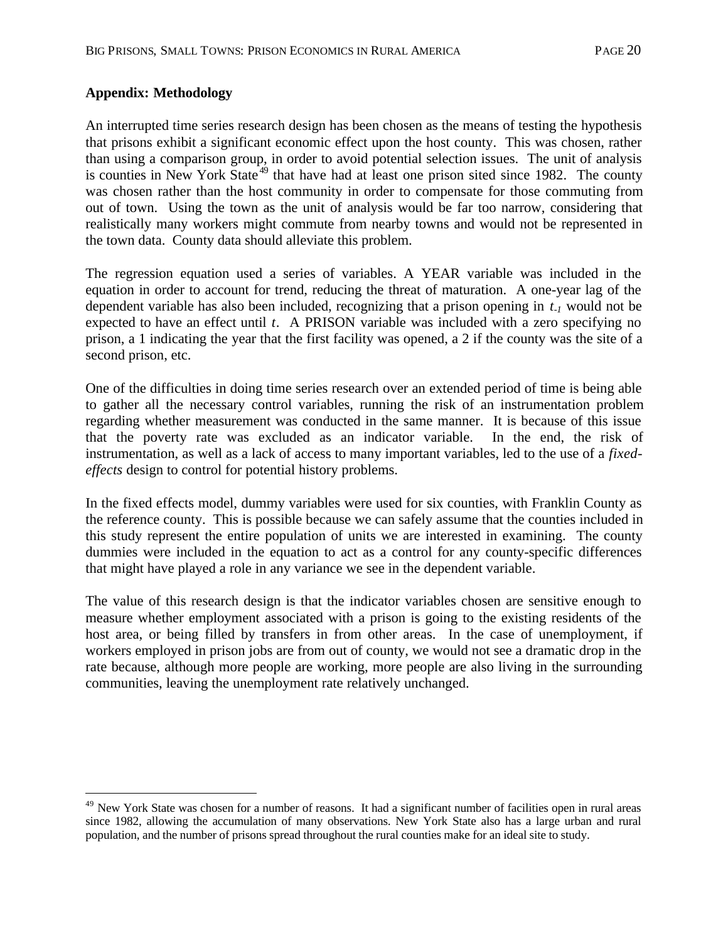#### **Appendix: Methodology**

 $\overline{a}$ 

An interrupted time series research design has been chosen as the means of testing the hypothesis that prisons exhibit a significant economic effect upon the host county. This was chosen, rather than using a comparison group, in order to avoid potential selection issues. The unit of analysis is counties in New York State<sup>49</sup> that have had at least one prison sited since 1982. The county was chosen rather than the host community in order to compensate for those commuting from out of town. Using the town as the unit of analysis would be far too narrow, considering that realistically many workers might commute from nearby towns and would not be represented in the town data. County data should alleviate this problem.

The regression equation used a series of variables. A YEAR variable was included in the equation in order to account for trend, reducing the threat of maturation. A one-year lag of the dependent variable has also been included, recognizing that a prison opening in *t-1* would not be expected to have an effect until *t*. A PRISON variable was included with a zero specifying no prison, a 1 indicating the year that the first facility was opened, a 2 if the county was the site of a second prison, etc.

One of the difficulties in doing time series research over an extended period of time is being able to gather all the necessary control variables, running the risk of an instrumentation problem regarding whether measurement was conducted in the same manner. It is because of this issue that the poverty rate was excluded as an indicator variable. In the end, the risk of instrumentation, as well as a lack of access to many important variables, led to the use of a *fixedeffects* design to control for potential history problems.

In the fixed effects model, dummy variables were used for six counties, with Franklin County as the reference county. This is possible because we can safely assume that the counties included in this study represent the entire population of units we are interested in examining. The county dummies were included in the equation to act as a control for any county-specific differences that might have played a role in any variance we see in the dependent variable.

The value of this research design is that the indicator variables chosen are sensitive enough to measure whether employment associated with a prison is going to the existing residents of the host area, or being filled by transfers in from other areas. In the case of unemployment, if workers employed in prison jobs are from out of county, we would not see a dramatic drop in the rate because, although more people are working, more people are also living in the surrounding communities, leaving the unemployment rate relatively unchanged.

<sup>&</sup>lt;sup>49</sup> New York State was chosen for a number of reasons. It had a significant number of facilities open in rural areas since 1982, allowing the accumulation of many observations. New York State also has a large urban and rural population, and the number of prisons spread throughout the rural counties make for an ideal site to study.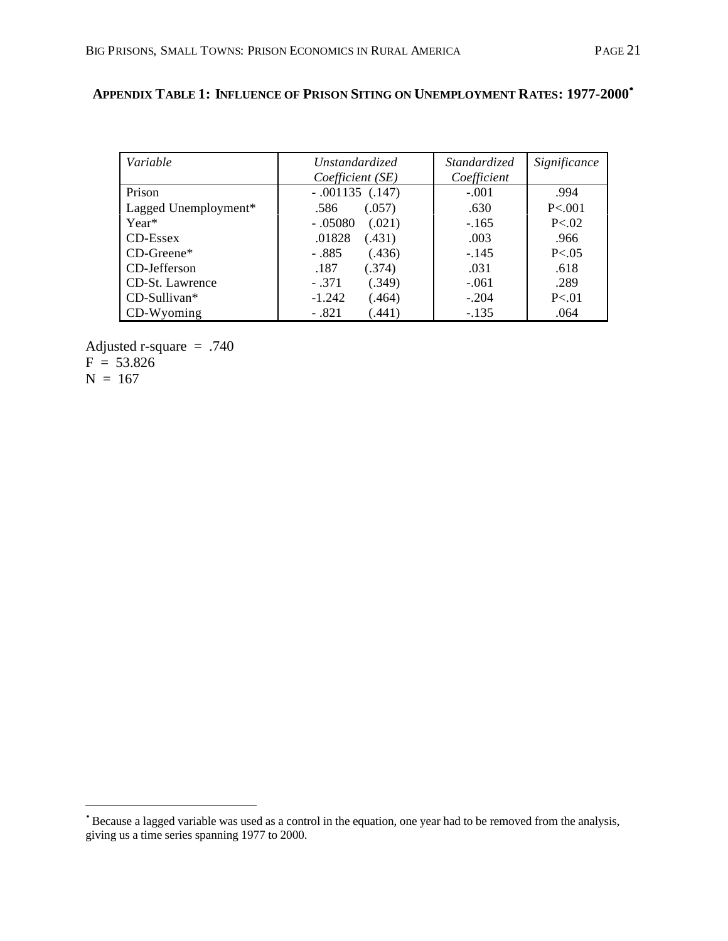# **APPENDIX TABLE 1: INFLUENCE OF PRISON SITING ON UNEMPLOYMENT RATES: 1977-2000··**

| Variable             | <i>Unstandardized</i> | <i>Standardized</i> | Significance |
|----------------------|-----------------------|---------------------|--------------|
|                      | Coefficient (SE)      | Coefficient         |              |
| Prison               | $-.001135$ $(.147)$   | $-.001$             | .994         |
| Lagged Unemployment* | (.057)<br>.586        | .630                | P < 001      |
| $Year*$              | $-.05080$<br>(.021)   | $-.165$             | P < 0.02     |
| $CD$ -Essex          | .01828<br>(.431)      | .003                | .966         |
| $CD$ -Greene*        | (.436)<br>$-.885$     | $-.145$             | P < 0.05     |
| CD-Jefferson         | .187<br>(.374)        | .031                | .618         |
| CD-St. Lawrence      | $-.371$<br>(.349)     | $-.061$             | .289         |
| $CD$ -Sullivan*      | (.464)<br>$-1.242$    | $-.204$             | P < 01       |
| $CD-Wyoming$         | (.441)<br>$-.821$     | $-.135$             | .064         |

Adjusted r-square = .740  $F = 53.826$  $N = 167$ 

 • Because a lagged variable was used as a control in the equation, one year had to be removed from the analysis, giving us a time series spanning 1977 to 2000.